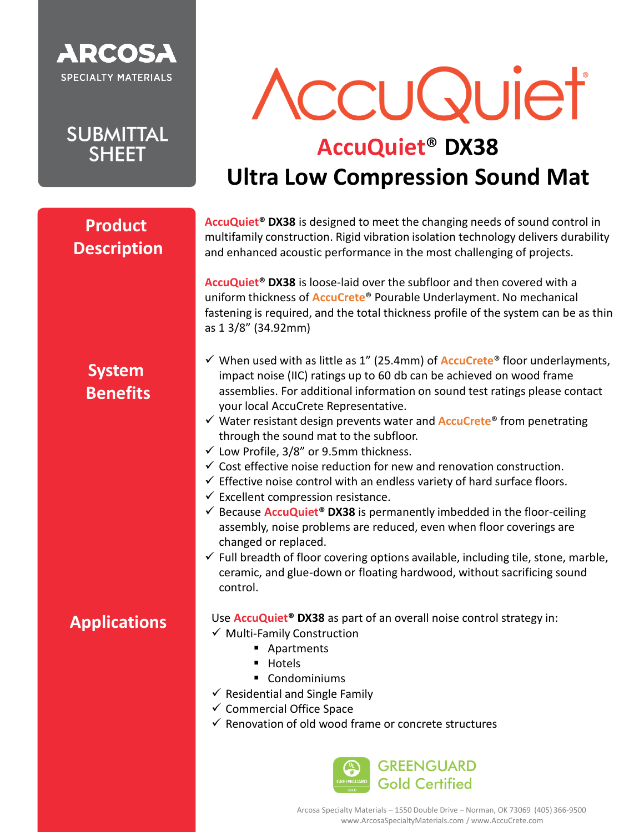

**SUBMITTAL SHEET** 

# AccuQuiet

### **AccuQuiet**® **DX38 Ultra Low Compression Sound Mat**

#### **Product Description**

**AccuQuiet® DX38** is designed to meet the changing needs of sound control in multifamily construction. Rigid vibration isolation technology delivers durability and enhanced acoustic performance in the most challenging of projects.

**AccuQuiet® DX38** is loose-laid over the subfloor and then covered with a uniform thickness of **AccuCrete**® Pourable Underlayment. No mechanical fastening is required, and the total thickness profile of the system can be as thin as 1 3/8" (34.92mm)

#### **System Benefits**

**Applications**

- ✓ When used with as little as 1" (25.4mm) of **AccuCrete**® floor underlayments, impact noise (IIC) ratings up to 60 db can be achieved on wood frame assemblies. For additional information on sound test ratings please contact your local AccuCrete Representative.
- ✓ Water resistant design prevents water and **AccuCrete**® from penetrating through the sound mat to the subfloor.
- ✓ Low Profile, 3/8" or 9.5mm thickness.
- $\checkmark$  Cost effective noise reduction for new and renovation construction.
- $\checkmark$  Effective noise control with an endless variety of hard surface floors.
- $\checkmark$  Excellent compression resistance.
- $\checkmark$  Because **AccuQuiet<sup>®</sup> DX38** is permanently imbedded in the floor-ceiling assembly, noise problems are reduced, even when floor coverings are changed or replaced.
- $\checkmark$  Full breadth of floor covering options available, including tile, stone, marble, ceramic, and glue-down or floating hardwood, without sacrificing sound control.

Use **AccuQuiet® DX38** as part of an overall noise control strategy in:

- ✓ Multi-Family Construction
	- Apartments
	- Hotels
	- Condominiums
- $\checkmark$  Residential and Single Family
- ✓ Commercial Office Space
- $\checkmark$  Renovation of old wood frame or concrete structures



Arcosa Specialty Materials – 1550 Double Drive – Norman, OK 73069 (405) 366-9500 www.ArcosaSpecialtyMaterials.com / www.AccuCrete.com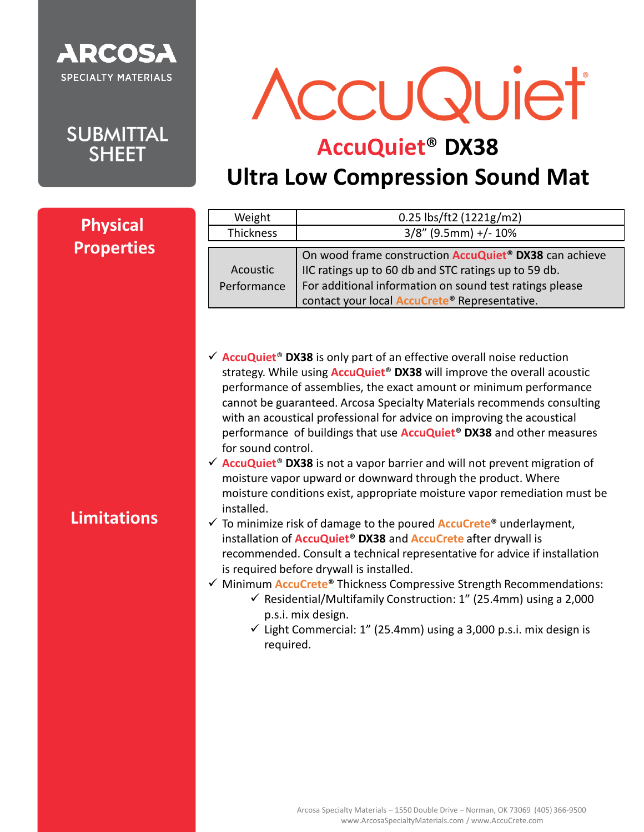

**SUBMITTAL SHEET** 

AccuQuiet

## **AccuQuiet**® **DX38**

## **Ultra Low Compression Sound Mat**

| <b>Physical</b>    | Weight                                        | 0.25 lbs/ft2 (1221g/m2)                                                                                                                                                                                                                                                                                                                                                                                                                                                                                                                                                                                                                                                                                                                                                                                                                                                                                                                                                                                                                                                                                                                                                                                                                                                                                                                                         |
|--------------------|-----------------------------------------------|-----------------------------------------------------------------------------------------------------------------------------------------------------------------------------------------------------------------------------------------------------------------------------------------------------------------------------------------------------------------------------------------------------------------------------------------------------------------------------------------------------------------------------------------------------------------------------------------------------------------------------------------------------------------------------------------------------------------------------------------------------------------------------------------------------------------------------------------------------------------------------------------------------------------------------------------------------------------------------------------------------------------------------------------------------------------------------------------------------------------------------------------------------------------------------------------------------------------------------------------------------------------------------------------------------------------------------------------------------------------|
| <b>Properties</b>  | Thickness                                     | $3/8$ " (9.5mm) +/- 10%                                                                                                                                                                                                                                                                                                                                                                                                                                                                                                                                                                                                                                                                                                                                                                                                                                                                                                                                                                                                                                                                                                                                                                                                                                                                                                                                         |
|                    | Acoustic<br>Performance                       | On wood frame construction <b>AccuQuiet<sup>®</sup> DX38</b> can achieve<br>IIC ratings up to 60 db and STC ratings up to 59 db.<br>For additional information on sound test ratings please<br>contact your local <b>AccuCrete®</b> Representative.                                                                                                                                                                                                                                                                                                                                                                                                                                                                                                                                                                                                                                                                                                                                                                                                                                                                                                                                                                                                                                                                                                             |
| <b>Limitations</b> | for sound control.<br>installed.<br>required. | $\checkmark$ AccuQuiet <sup>®</sup> DX38 is only part of an effective overall noise reduction<br>strategy. While using <b>AccuQuiet<sup>®</sup> DX38</b> will improve the overall acoustic<br>performance of assemblies, the exact amount or minimum performance<br>cannot be guaranteed. Arcosa Specialty Materials recommends consulting<br>with an acoustical professional for advice on improving the acoustical<br>performance of buildings that use <b>AccuQuiet<sup>®</sup> DX38</b> and other measures<br>$\checkmark$ AccuQuiet <sup>®</sup> DX38 is not a vapor barrier and will not prevent migration of<br>moisture vapor upward or downward through the product. Where<br>moisture conditions exist, appropriate moisture vapor remediation must be<br>$\checkmark$ To minimize risk of damage to the poured <b>AccuCrete<sup>®</sup></b> underlayment,<br>installation of <b>AccuQuiet<sup>®</sup> DX38</b> and <b>AccuCrete</b> after drywall is<br>recommended. Consult a technical representative for advice if installation<br>is required before drywall is installed.<br>√ Minimum <b>AccuCrete®</b> Thickness Compressive Strength Recommendations:<br>$\checkmark$ Residential/Multifamily Construction: 1" (25.4mm) using a 2,000<br>p.s.i. mix design.<br>$\checkmark$ Light Commercial: 1" (25.4mm) using a 3,000 p.s.i. mix design is |